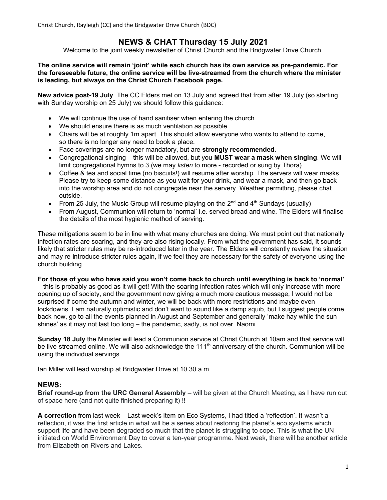Christ Church, Rayleigh (CC) and the Bridgwater Drive Church (BDC)

# NEWS & CHAT Thursday 15 July 2021

Welcome to the joint weekly newsletter of Christ Church and the Bridgwater Drive Church.

### The online service will remain 'joint' while each church has its own service as pre-pandemic. For the foreseeable future, the online service will be live-streamed from the church where the minister is leading, but always on the Christ Church Facebook page.

New advice post-19 July. The CC Elders met on 13 July and agreed that from after 19 July (so starting with Sunday worship on 25 July) we should follow this guidance:

- We will continue the use of hand sanitiser when entering the church.
- We should ensure there is as much ventilation as possible.
- Chairs will be at roughly 1m apart. This should allow everyone who wants to attend to come, so there is no longer any need to book a place.
- Face coverings are no longer mandatory, but are strongly recommended.
- Congregational singing this will be allowed, but you **MUST wear a mask when singing.** We will limit congregational hymns to 3 (we may listen to more - recorded or sung by Thora)
- Coffee & tea and social time (no biscuits!) will resume after worship. The servers will wear masks. Please try to keep some distance as you wait for your drink, and wear a mask, and then go back into the worship area and do not congregate near the servery. Weather permitting, please chat outside.
- From 25 July, the Music Group will resume playing on the  $2^{nd}$  and  $4^{th}$  Sundays (usually)
- From August, Communion will return to 'normal' i.e. served bread and wine. The Elders will finalise the details of the most hygienic method of serving.

These mitigations seem to be in line with what many churches are doing. We must point out that nationally infection rates are soaring, and they are also rising locally. From what the government has said, it sounds likely that stricter rules may be re-introduced later in the year. The Elders will constantly review the situation and may re-introduce stricter rules again, if we feel they are necessary for the safety of everyone using the church building.

#### For those of you who have said you won't come back to church until everything is back to 'normal'

– this is probably as good as it will get! With the soaring infection rates which will only increase with more opening up of society, and the government now giving a much more cautious message, I would not be surprised if come the autumn and winter, we will be back with more restrictions and maybe even lockdowns. I am naturally optimistic and don't want to sound like a damp squib, but I suggest people come back now, go to all the events planned in August and September and generally 'make hay while the sun shines' as it may not last too long – the pandemic, sadly, is not over. Naomi

Sunday 18 July the Minister will lead a Communion service at Christ Church at 10am and that service will be live-streamed online. We will also acknowledge the 111<sup>th</sup> anniversary of the church. Communion will be using the individual servings.

Ian Miller will lead worship at Bridgwater Drive at 10.30 a.m.

### NEWS:

Brief round-up from the URC General Assembly – will be given at the Church Meeting, as I have run out of space here (and not quite finished preparing it) !!

A correction from last week – Last week's item on Eco Systems, I had titled a 'reflection'. It wasn't a reflection, it was the first article in what will be a series about restoring the planet's eco systems which support life and have been degraded so much that the planet is struggling to cope. This is what the UN initiated on World Environment Day to cover a ten-year programme. Next week, there will be another article from Elizabeth on Rivers and Lakes.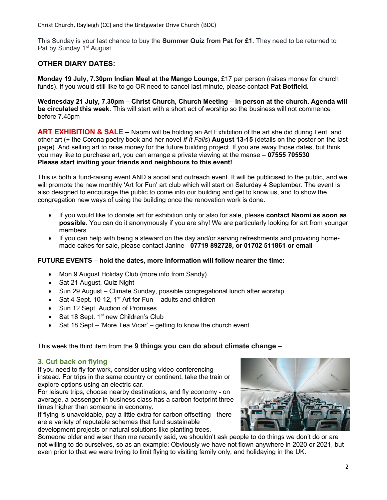Christ Church, Rayleigh (CC) and the Bridgwater Drive Church (BDC)

This Sunday is your last chance to buy the **Summer Quiz from Pat for £1**. They need to be returned to Pat by Sunday 1<sup>st</sup> August.

# OTHER DIARY DATES:

Monday 19 July, 7.30pm Indian Meal at the Mango Lounge, £17 per person (raises money for church funds). If you would still like to go OR need to cancel last minute, please contact Pat Botfield.

Wednesday 21 July, 7.30pm – Christ Church, Church Meeting – in person at the church. Agenda will be circulated this week. This will start with a short act of worship so the business will not commence before 7.45pm

ART EXHIBITION & SALE – Naomi will be holding an Art Exhibition of the art she did during Lent, and other art (+ the Corona poetry book and her novel If It Falls) **August 13-15** (details on the poster on the last page). And selling art to raise money for the future building project. If you are away those dates, but think you may like to purchase art, you can arrange a private viewing at the manse – 07555 705530 Please start inviting your friends and neighbours to this event!

This is both a fund-raising event AND a social and outreach event. It will be publicised to the public, and we will promote the new monthly 'Art for Fun' art club which will start on Saturday 4 September. The event is also designed to encourage the public to come into our building and get to know us, and to show the congregation new ways of using the building once the renovation work is done.

- If you would like to donate art for exhibition only or also for sale, please contact Naomi as soon as possible. You can do it anonymously if you are shy! We are particularly looking for art from younger members.
- If you can help with being a steward on the day and/or serving refreshments and providing homemade cakes for sale, please contact Janine - 07719 892728, or 01702 511861 or email

### FUTURE EVENTS – hold the dates, more information will follow nearer the time:

- Mon 9 August Holiday Club (more info from Sandy)
- Sat 21 August, Quiz Night
- Sun 29 August Climate Sunday, possible congregational lunch after worship
- Sat 4 Sept. 10-12, 1<sup>st</sup> Art for Fun adults and children
- Sun 12 Sept. Auction of Promises
- $\bullet$  Sat 18 Sept. 1st new Children's Club
- Sat 18 Sept 'More Tea Vicar' getting to know the church event

## This week the third item from the 9 things you can do about climate change –

### 3. Cut back on flying

If you need to fly for work, consider using video-conferencing instead. For trips in the same country or continent, take the train or explore options using an electric car.

For leisure trips, choose nearby destinations, and fly economy - on average, a passenger in business class has a carbon footprint three times higher than someone in economy.

If flying is unavoidable, pay a little extra for carbon offsetting - there are a variety of reputable schemes that fund sustainable

development projects or natural solutions like planting trees.



Someone older and wiser than me recently said, we shouldn't ask people to do things we don't do or are not willing to do ourselves, so as an example: Obviously we have not flown anywhere in 2020 or 2021, but even prior to that we were trying to limit flying to visiting family only, and holidaying in the UK.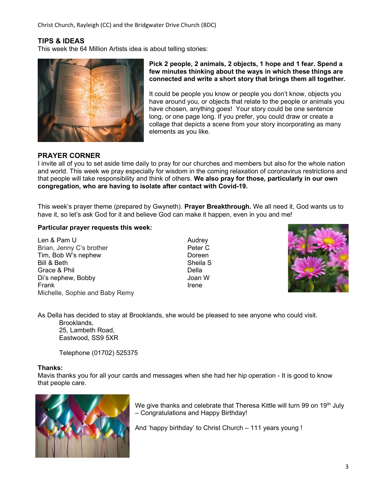Christ Church, Rayleigh (CC) and the Bridgwater Drive Church (BDC)

# TIPS & IDEAS

This week the 64 Million Artists idea is about telling stories:



Pick 2 people, 2 animals, 2 objects, 1 hope and 1 fear. Spend a few minutes thinking about the ways in which these things are connected and write a short story that brings them all together.

It could be people you know or people you don't know, objects you have around you, or objects that relate to the people or animals you have chosen, anything goes! Your story could be one sentence long, or one page long. If you prefer, you could draw or create a collage that depicts a scene from your story incorporating as many elements as you like.

### PRAYER CORNER

I invite all of you to set aside time daily to pray for our churches and members but also for the whole nation and world. This week we pray especially for wisdom in the coming relaxation of coronavirus restrictions and that people will take responsibility and think of others. We also pray for those, particularly in our own congregation, who are having to isolate after contact with Covid-19.

This week's prayer theme (prepared by Gwyneth). **Prayer Breakthrough.** We all need it, God wants us to have it, so let's ask God for it and believe God can make it happen, even in you and me!

#### Particular prayer requests this week:

Len & Pam U Audrey Brian, Jenny C's brother **Peter C** Tim, Bob W's nephew Doreen Bill & Beth Sheila S Grace & Phil **Della** Di's nephew, Bobby **Joan W** Frank **Irene** Michelle, Sophie and Baby Remy



As Della has decided to stay at Brooklands, she would be pleased to see anyone who could visit.

Brooklands, 25, Lambeth Road, Eastwood, SS9 5XR

Telephone (01702) 525375

#### Thanks:

Mavis thanks you for all your cards and messages when she had her hip operation - It is good to know that people care.



We give thanks and celebrate that Theresa Kittle will turn 99 on 19<sup>th</sup> July – Congratulations and Happy Birthday!

And 'happy birthday' to Christ Church – 111 years young !